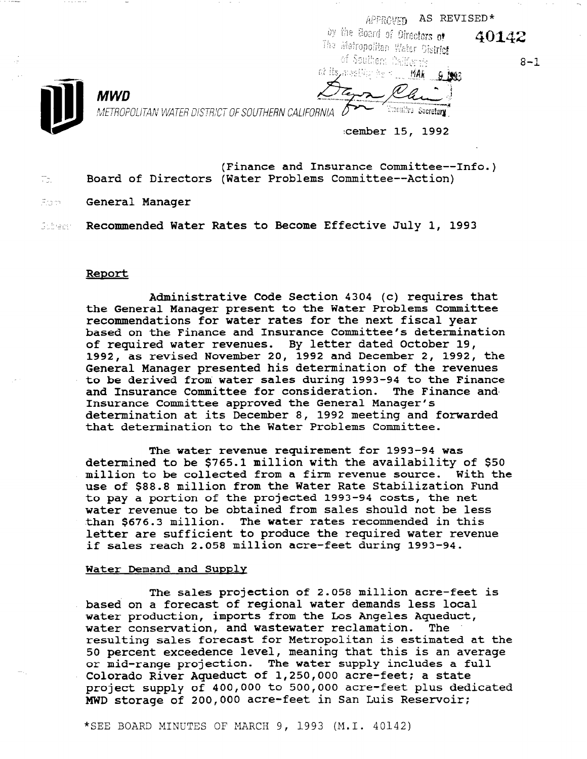APPROVED AS REVISED\*

by the Board of Directors of The Metropolitan Water Sistrict of Southern fieldlergig of its, meeting being the HAR

 $8 - 1$ 

40142



METROPOLITAN WATER DISTRICT OF SOUTHERN CALIFORNIA

cember 15, 1992

Executive Secretary

(Finance and Insurance Committee--Info.)  $\Box$  Board of Directors (Water Problems Committee--Action)

:Etaler i General Manager

**MWD** 

Subsect Recommended Water Rates to Become Effective July 1, 1993

#### Reoort

Administrative Code Section 4304 (c) requires that the General Manager present to the Water Problems Committee recommendations for water rates for the next fiscal year based on the Finance and Insurance Committee's determination of required water revenues. By letter dated October 19, 1992, as revised November 20, 1992 and December 2, 1992, the General Manager presented his determination of the revenues to be derived from water sales during 1993-94 to the Finance and Insurance Committee for consideration. The Finance and-Insurance Committee approved the General Manager's determination at its December 8, 1992 meeting and forwarded that determination to the Water Problems Committee.

The water revenue requirement for 1993-94 was determined to be \$765.1 million with the availability of \$50 million to be collected from a firm revenue source. With the use of \$88.8 million from the Water Rate Stabilization Fund to pay a portion of the projected 1993-94 costs, the net water revenue to be obtained from sales should not be less than \$676.3 million. The water rates recommended in this letter are sufficient to produce the required water revenue if sales reach 2.058 million acre-feet during 1993-94.

#### Water Demand and Supply

The sales projection of 2.058 million acre-feet is based on a forecast of regional water demands less local pased on a forecast of regional water demands fess foc water production, imports from the Los Angeles Aqued water conservation, and wastewater reclamation. The<br>resulting sales forecast for Metropolitan is estimated at the fesuiting sales forecast for metropolitan is estimated at the result of the second state of the second state of the second state of the state of the state of the state of the state of the state of the state of the state of ou percent exceedence level, meaning that this is an aver<br>currid-water supplying the water supply includes a ful or mid-range projection. The water supply includes a full Colorado River Aqueduct of 1,250,000 acre-feet; a state project supply to 5000 to 500,000 acre-feet; a state project supply of 400,000 to 500,000 acre-feet plus o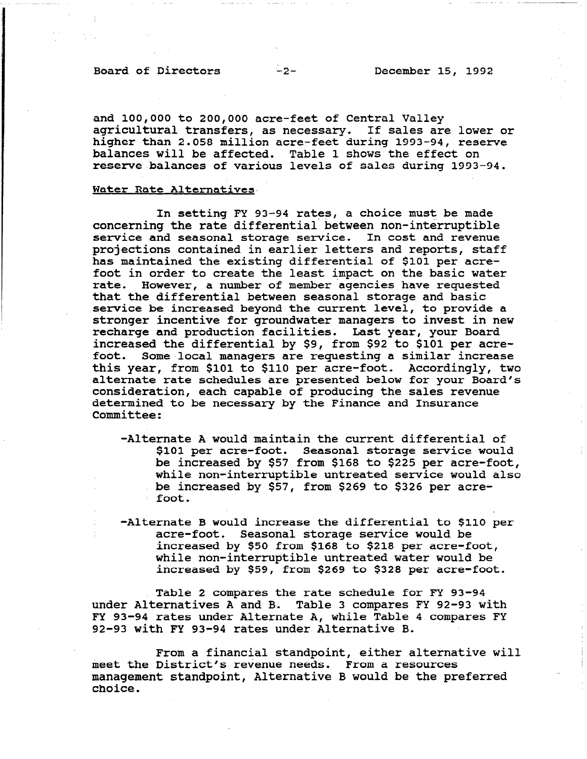## Board of Directors -2- December 15, 1992

and 100,000 to 200,000 acre-feet of Central Valley agricultural transfers, as necessary. If sales are lower or higher than 2.058 million acre-feet during 1993-94, reserve balances will be affected. Table 1 shows the effect on reserve balances of various levels of sales during 1993-94.

#### Water Rate Alternatives

In setting FY 93-94 rates, a choice must be made concerning the rate differential between non-interruptible service and seasonal storage service. In cost and revenue projections contained in earlier letters and reports, staff has maintained the existing differential of \$101 per acrefoot in order to create the least impact on the basic water rate. However, a number of member agencies have requested that the differential between seasonal storage and basic service be 'increased beyond the current level, to provide a stronger incentive for groundwater managers to invest in new recharge and production facilities. Last year, your Board increased the differential by \$9, from \$92 to \$101 per acrefoot. Some local managers are requesting a similar increase this year, from \$101 to \$110 per acre-foot. Accordingly, two alternate rate schedules are presented below for your Board's consideration, each capable of producing the sales revenue determined to be necessary by the Finance and Insurance Committee:

- -Alternate A would maintain the current differential of \$101 per acre-foot. Seasonal storage service would be increased by \$57 from \$168 to \$225 per acre-foot, while non-interruptible untreated service would also be increased by \$57, from \$269 to \$326 per acrefoot.
- -Alternate B would increase the differential to \$110 per acre-foot. Seasonal storage service would be increased by \$50 from \$168 to \$218 per acre-foot, while non-interruptible untreated water would be increased by \$59, from \$269 to \$328 per acre-foot.

Table 2 compares the rate schedule for FY 93-94 under Alternatives A and B. Table 3 compares FY 92-93 with FY 93-94 rates under Alternate A, while Table 4 compares FY 92-93 with FY 93-94 rates under Alternative B.

From a financial standpoint, either alternative will meet the District's revenue needs. From a resources meet the DIStrict's revenue needs. Trom a resources<br>mensencent standpoint, Alternative B would be the preferr manag<br>----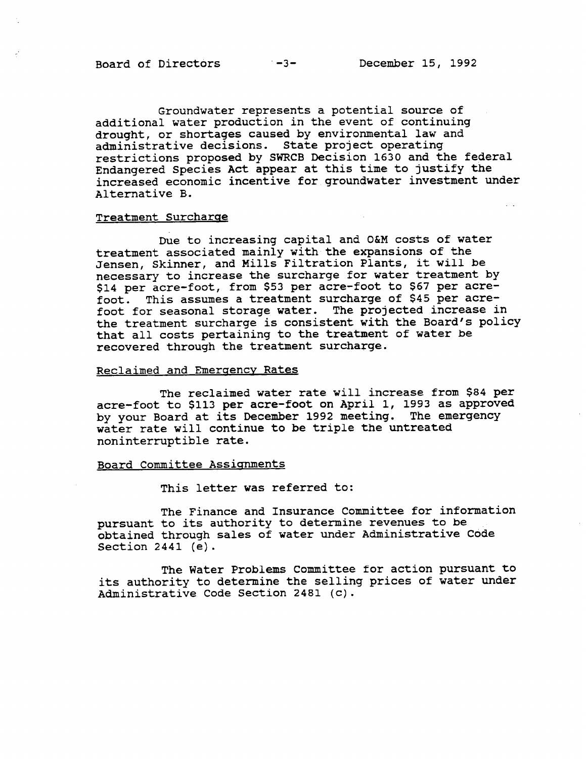Groundwater represents a potential source of additional water production in the event of continuing drought, or shortages caused by environmental law and administrative decisions. State project operating restrictions proposed by SWRCB Decision 1630 and the federal Endangered Species Act appear at this time to justify the increased economic incentive for groundwater investment under Alternative B.

#### Treatment Surcharae

Due to increasing capital and O&M costs of water treatment associated mainly with the expansions of the Jensen, Skinner, and Mills Filtration Plants, it will be necessary to increase the surcharge for water treatment by \$14 per acre-foot, from \$53 per acre-foot to \$67 per acrefoot. This assumes a treatment surcharge of \$45 per acrefoot for seasonal storage water. The projected increase in the treatment surcharge is consistent with the Board's policy that all costs pertaining to the treatment of water be recovered through the treatment surcharge.

#### Reclaimed and Emeraencv Rates

The reclaimed water rate will increase from \$84 per acre-foot to \$113 per acre-foot on April 1, 1993 as approved by your Board at its December 1992 meeting. The emergency water rate will continue to be triple the untreated noninterruptible rate.

#### Board Committee Assignments

This letter was referred to:

The Finance and Insurance Committee for information pursuant to its authority to determine revenues to be obtained through sales of water under Administrative Code Section 2441 (e).

The Water Problems Committee for action pursuant to its authority to determine the selling prices of water under Administrative Code Section 2481 (c).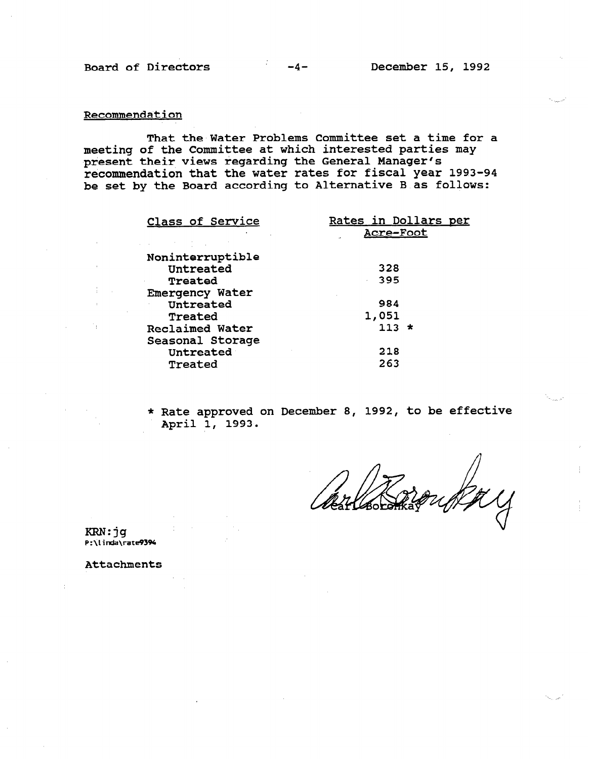### Recommendation

That the Water Problems Committee set a time for a meeting of the Committee at which interested parties may present their views regarding the General Manager's recommendation that the water rates for fiscal year 1993-94 be set by the Board according to Alternative B as follows:

| Class of Service                    | <u>Rates in Dollars per</u><br>Acre-Foot |
|-------------------------------------|------------------------------------------|
| たいこうしゅう<br>Noninterruptible         |                                          |
| Untreated                           | 328                                      |
| Treated                             | 395                                      |
| Emergency Water                     |                                          |
| Untreated                           | 984                                      |
| Treated                             | 1,051                                    |
| Reclaimed Water<br>Seasonal Storage | $113 *$                                  |
| Untreated                           | -218                                     |
| Treated                             | 263                                      |
|                                     |                                          |

\* Rate approved on December 8, 1992, to be effective Rate approved

KRN:jg  $\mathbf{K}\mathbf{K}\mathbf{N}$ : 19 P:\linda\rate9394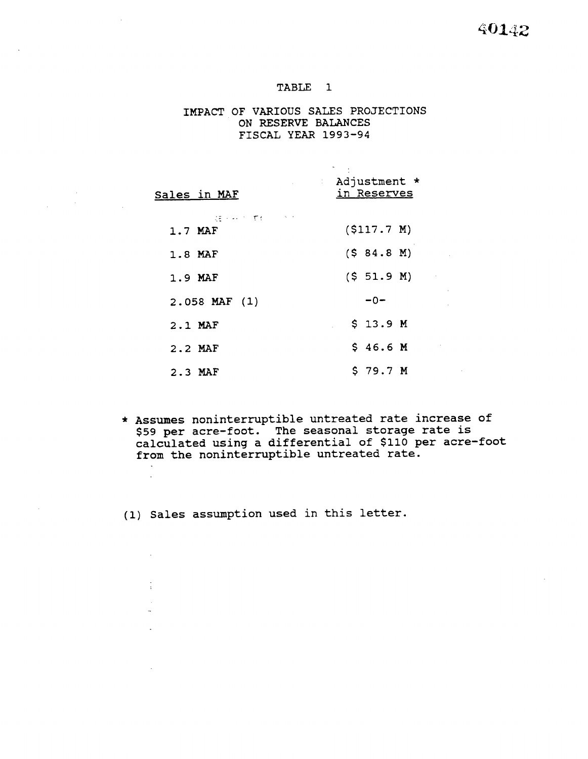40142

 $\sim 10$ 

 $\sim 10^{-11}$  $\sim 10^{-11}$ 

 $\sim 10^7$ 

### TABLE 1

### IMPACT OF VARIOUS SALES PROJECTIONS ON RESERVE BALANCES FISCAL YEAR 1993-94

| <u>Sales in MAF</u>      | Adjustment *<br>in Reserves |
|--------------------------|-----------------------------|
| (狂いみと)すれ しょうと<br>1.7 MAF | ( \$117.7 M)                |
| 1.8 MAF                  | (584.8 M)                   |
| 1.9 MAF                  | (5 51.9 M)                  |
| $2.058$ MAF $(1)$        | $-0-$                       |
| $2.1$ MAF                | $$13.9$ M                   |
| 2.2 MAF                  | \$46.6M                     |
| $2.3$ MAF                | \$79.7 M                    |

\* Assumes noninterruptible untreated rate increase of \$59 per acre-foot. The seasonal storage rate is per correction and the control of \$110 per acre-fo from the noninterruptible untreated rate.

(1) Sales assumption used in this letter.

 $\mathcal{L}^{\mathcal{A}}$ 

 $\mathcal{L}$ 

÷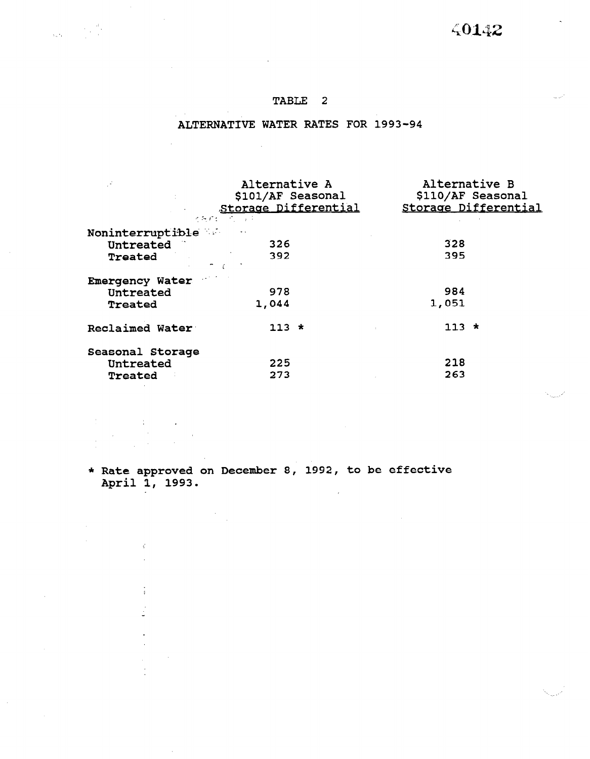# 40142

### TABLE 2

 $\label{eq:2} \frac{1}{\sqrt{2\pi\sigma^2\epsilon}}\leq \frac{1}{\sqrt{2\pi\epsilon}}\frac{1}{\sqrt{2\pi\epsilon}}.$ 

 $\frac{1}{\epsilon}$ 

ţ.

 $\bar{z}$ 

 $\sim$ 

# ALTERNATIVE WATER RATES FOR 1993-94

 $\sim$  4.

| <b>STATE STATE</b>                       | Alternative A<br>\$101/AF Seasonal<br>Storage Differential<br>ろちれた パンティー                                      | Alternative B<br>and the company | \$110/AF Seasonal<br>Storage Differential |
|------------------------------------------|---------------------------------------------------------------------------------------------------------------|----------------------------------|-------------------------------------------|
| Noninterruptible                         |                                                                                                               |                                  |                                           |
| <b>Untreated</b>                         | 326                                                                                                           | 328                              |                                           |
| <b>Treated Treated</b>                   | 392                                                                                                           | 395                              |                                           |
| Emergency Water<br>Untreated<br>Treated  | $\label{eq:2.1} \mathcal{L}(\mathcal{L}) = \mathcal{L}(\mathcal{L}) \mathcal{L}(\mathcal{L})$<br>978<br>1,044 | 984<br>1,051                     |                                           |
| Reclaimed Water                          | $113 *$                                                                                                       | $113 *$                          |                                           |
| Seasonal Storage<br>Untreated<br>Treated | 225<br>273                                                                                                    | 218<br>263                       |                                           |

 $\sim$   $\sim$ 

 $\mathbf{r}$ 

 $\overline{r}$   $\overline{r}$   $\overline{r}$   $\overline{r}$   $\overline{r}$   $\overline{r}$   $\overline{r}$   $\overline{r}$   $\overline{r}$   $\overline{r}$   $\overline{r}$   $\overline{r}$   $\overline{r}$   $\overline{r}$   $\overline{r}$   $\overline{r}$   $\overline{r}$   $\overline{r}$   $\overline{r}$   $\overline{r}$   $\overline{r}$   $\overline{r}$   $\overline{r}$   $\overline{r}$   $\overline{$ kate approved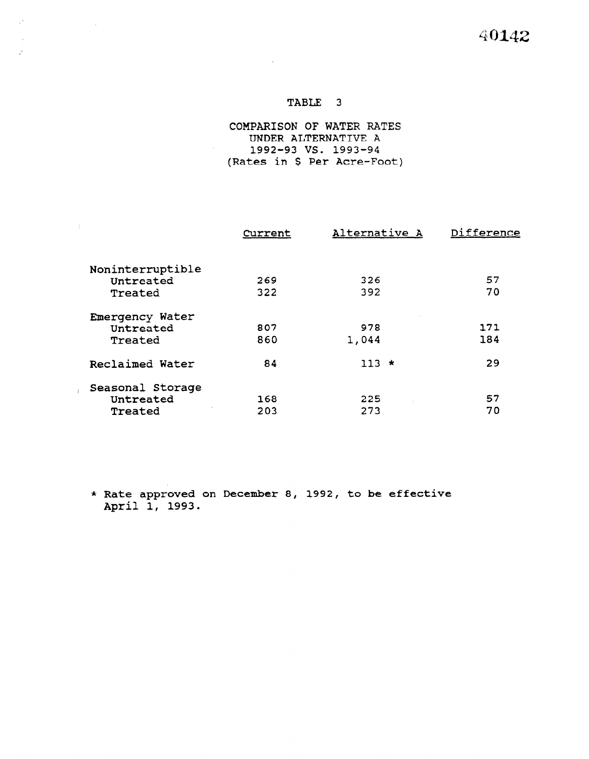40142

### TABLE 3

 $\sim 10^{-1}$ 

 $\alpha$  .

 $\sim 10$ 

 $\sim 4^{\circ}$ 

 $\mathcal{A}^{\mathcal{A}}$ 

COMPARISON OF WATER RATES UNDER ALTERNATIVE A 1992-93 vs. 1993-94 (Rates in \$ Per Acre-Foot)

|                  | Current | Alternative A | Difference |
|------------------|---------|---------------|------------|
| Noninterruptible |         |               |            |
| Untreated        | 269     | 326           | 57         |
| Treated          | 322     | 392           | 70         |
| Emergency Water  |         |               |            |
| Untreated        | 807     | 978           | 171        |
| Treated          | 860     | 1,044         | 184        |
| Reclaimed Water  | 84      | $113 \times$  | 29         |
| Seasonal Storage |         |               |            |
| Untreated        | 168     | 225           | 57         |
| Treated          | 203     | 273           | 70         |
|                  |         |               |            |

 $\mathcal{R}^{\text{max}}(\mathcal{R}^{\text{max}})$  approved on December 8, 1992, to be effectively december 8, 1992, to be effectively decreased Rate approved